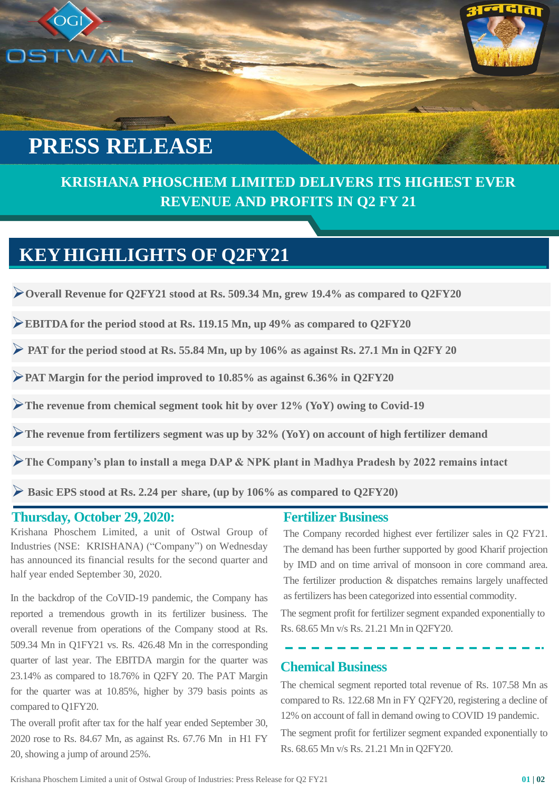# **PRESS RELEASE**

OGI

## **KRISHANA PHOSCHEM LIMITED DELIVERS ITS HIGHEST EVER REVENUE AND PROFITS IN Q2 FY 21**

## **KEYHIGHLIGHTS OF Q2FY21**

WAL SER

➢**Overall Revenue for Q2FY21 stood at Rs. 509.34 Mn, grew 19.4% as compared to Q2FY20**

➢**EBITDA for the period stood at Rs. 119.15 Mn, up 49% as compared to Q2FY20**

➢ **PAT for the period stood at Rs. 55.84 Mn, up by 106% as against Rs. 27.1 Mn in Q2FY 20**

➢**PAT Margin for the period improved to 10.85% as against 6.36% in Q2FY20**

➢**The revenue from chemical segment took hit by over 12% (YoY) owing to Covid-19**

➢**The revenue from fertilizers segment was up by 32% (YoY) on account of high fertilizer demand**

➢**The Company's plan to install a mega DAP & NPK plant in Madhya Pradesh by 2022 remains intact**

➢ **Basic EPS stood at Rs. 2.24 per share, (up by 106% as compared to Q2FY20)**

### **Thursday, October 29, 2020:**

Krishana Phoschem Limited, a unit of Ostwal Group of Industries (NSE: KRISHANA) ("Company") on Wednesday has announced its financial results for the second quarter and half year ended September 30, 2020.

In the backdrop of the CoVID-19 pandemic, the Company has reported a tremendous growth in its fertilizer business. The overall revenue from operations of the Company stood at Rs. 509.34 Mn in Q1FY21 vs. Rs. 426.48 Mn in the corresponding quarter of last year. The EBITDA margin for the quarter was 23.14% as compared to 18.76% in Q2FY 20. The PAT Margin for the quarter was at 10.85%, higher by 379 basis points as compared to Q1FY20.

The overall profit after tax for the half year ended September 30, 2020 rose to Rs. 84.67 Mn, as against Rs. 67.76 Mn in H1 FY 20, showing a jump of around 25%.

#### **Fertilizer Business**

The Company recorded highest ever fertilizer sales in Q2 FY21. The demand has been further supported by good Kharif projection by IMD and on time arrival of monsoon in core command area. The fertilizer production & dispatches remains largely unaffected as fertilizers has been categorized into essential commodity.

The segment profit for fertilizer segment expanded exponentially to Rs. 68.65 Mn v/s Rs. 21.21 Mn in Q2FY20.

**Chemical Business**

The chemical segment reported total revenue of Rs. 107.58 Mn as compared to Rs. 122.68 Mn in FY Q2FY20, registering a decline of 12% on account of fall in demand owing to COVID 19 pandemic.

The segment profit for fertilizer segment expanded exponentially to Rs. 68.65 Mn v/s Rs. 21.21 Mn in Q2FY20.